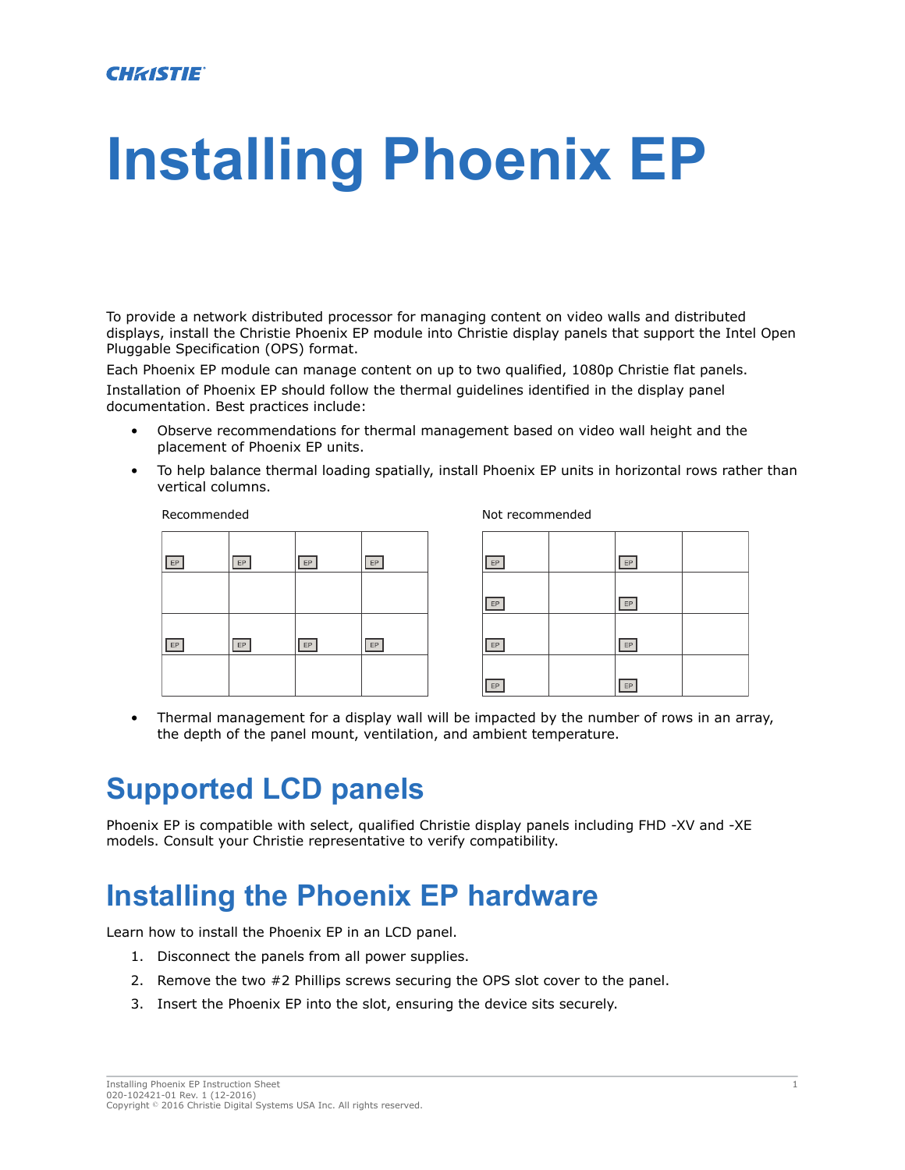# **Installing Phoenix EP**

To provide a network distributed processor for managing content on video walls and distributed displays, install the Christie Phoenix EP module into Christie display panels that support the Intel Open Pluggable Specification (OPS) format.

Each Phoenix EP module can manage content on up to two qualified, 1080p Christie flat panels.

Installation of Phoenix EP should follow the thermal guidelines identified in the display panel documentation. Best practices include:

- Observe recommendations for thermal management based on video wall height and the placement of Phoenix EP units.
- To help balance thermal loading spatially, install Phoenix EP units in horizontal rows rather than vertical columns.

#### Recommended Not recommended

| EP | $\mathsf{EP}$ | $\mathsf{EP}$ | $\mathsf{EP}$ |
|----|---------------|---------------|---------------|
|    |               |               |               |
| EP | EP            | EP            | $\mathsf{EP}$ |
|    |               |               |               |

| EP | EP |  |
|----|----|--|
| EP | EP |  |
| EP | EP |  |
| EP | EP |  |

• Thermal management for a display wall will be impacted by the number of rows in an array, the depth of the panel mount, ventilation, and ambient temperature.

### **Supported LCD panels**

Phoenix EP is compatible with select, qualified Christie display panels including FHD -XV and -XE models. Consult your Christie representative to verify compatibility.

### **Installing the Phoenix EP hardware**

Learn how to install the Phoenix EP in an LCD panel.

- 1. Disconnect the panels from all power supplies.
- 2. Remove the two #2 Phillips screws securing the OPS slot cover to the panel.
- 3. Insert the Phoenix EP into the slot, ensuring the device sits securely.